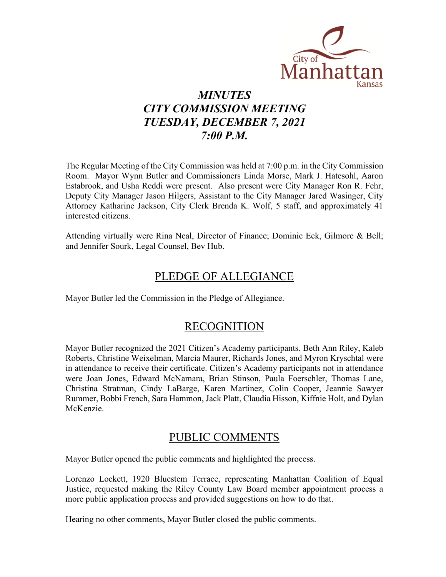

# *MINUTES CITY COMMISSION MEETING TUESDAY, DECEMBER 7, 2021 7:00 P.M.*

The Regular Meeting of the City Commission was held at 7:00 p.m. in the City Commission Room. Mayor Wynn Butler and Commissioners Linda Morse, Mark J. Hatesohl, Aaron Estabrook, and Usha Reddi were present. Also present were City Manager Ron R. Fehr, Deputy City Manager Jason Hilgers, Assistant to the City Manager Jared Wasinger, City Attorney Katharine Jackson, City Clerk Brenda K. Wolf, 5 staff, and approximately 41 interested citizens.

Attending virtually were Rina Neal, Director of Finance; Dominic Eck, Gilmore & Bell; and Jennifer Sourk, Legal Counsel, Bev Hub.

## PLEDGE OF ALLEGIANCE

Mayor Butler led the Commission in the Pledge of Allegiance.

### RECOGNITION

Mayor Butler recognized the 2021 Citizen's Academy participants. Beth Ann Riley, Kaleb Roberts, Christine Weixelman, Marcia Maurer, Richards Jones, and Myron Kryschtal were in attendance to receive their certificate. Citizen's Academy participants not in attendance were Joan Jones, Edward McNamara, Brian Stinson, Paula Foerschler, Thomas Lane, Christina Stratman, Cindy LaBarge, Karen Martinez, Colin Cooper, Jeannie Sawyer Rummer, Bobbi French, Sara Hammon, Jack Platt, Claudia Hisson, Kiffnie Holt, and Dylan McKenzie.

## PUBLIC COMMENTS

Mayor Butler opened the public comments and highlighted the process.

Lorenzo Lockett, 1920 Bluestem Terrace, representing Manhattan Coalition of Equal Justice, requested making the Riley County Law Board member appointment process a more public application process and provided suggestions on how to do that.

Hearing no other comments, Mayor Butler closed the public comments.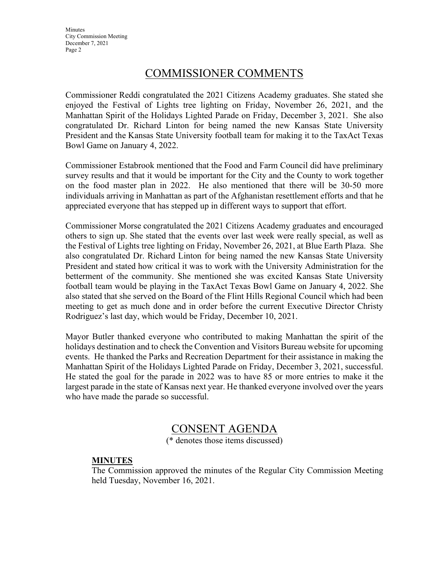**Minutes** City Commission Meeting December 7, 2021 Page 2

## COMMISSIONER COMMENTS

Commissioner Reddi congratulated the 2021 Citizens Academy graduates. She stated she enjoyed the Festival of Lights tree lighting on Friday, November 26, 2021, and the Manhattan Spirit of the Holidays Lighted Parade on Friday, December 3, 2021. She also congratulated Dr. Richard Linton for being named the new Kansas State University President and the Kansas State University football team for making it to the TaxAct Texas Bowl Game on January 4, 2022.

Commissioner Estabrook mentioned that the Food and Farm Council did have preliminary survey results and that it would be important for the City and the County to work together on the food master plan in 2022. He also mentioned that there will be 30-50 more individuals arriving in Manhattan as part of the Afghanistan resettlement efforts and that he appreciated everyone that has stepped up in different ways to support that effort.

Commissioner Morse congratulated the 2021 Citizens Academy graduates and encouraged others to sign up. She stated that the events over last week were really special, as well as the Festival of Lights tree lighting on Friday, November 26, 2021, at Blue Earth Plaza. She also congratulated Dr. Richard Linton for being named the new Kansas State University President and stated how critical it was to work with the University Administration for the betterment of the community. She mentioned she was excited Kansas State University football team would be playing in the TaxAct Texas Bowl Game on January 4, 2022. She also stated that she served on the Board of the Flint Hills Regional Council which had been meeting to get as much done and in order before the current Executive Director Christy Rodriguez's last day, which would be Friday, December 10, 2021.

Mayor Butler thanked everyone who contributed to making Manhattan the spirit of the holidays destination and to check the Convention and Visitors Bureau website for upcoming events. He thanked the Parks and Recreation Department for their assistance in making the Manhattan Spirit of the Holidays Lighted Parade on Friday, December 3, 2021, successful. He stated the goal for the parade in 2022 was to have 85 or more entries to make it the largest parade in the state of Kansas next year. He thanked everyone involved over the years who have made the parade so successful.

### CONSENT AGENDA

(\* denotes those items discussed)

#### **MINUTES**

The Commission approved the minutes of the Regular City Commission Meeting held Tuesday, November 16, 2021.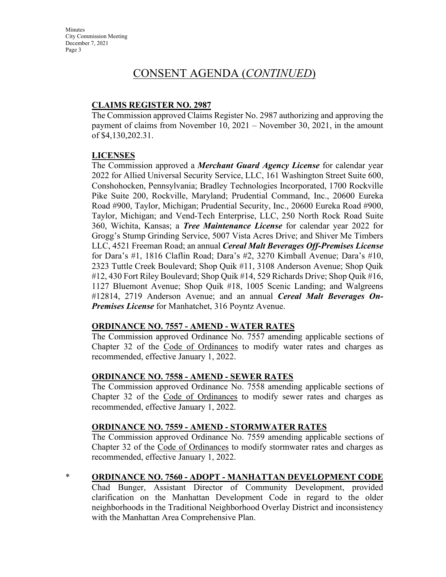**Minutes** City Commission Meeting December 7, 2021 Page 3

## CONSENT AGENDA (*CONTINUED*)

### **CLAIMS REGISTER NO. 2987**

The Commission approved Claims Register No. 2987 authorizing and approving the payment of claims from November 10, 2021 – November 30, 2021, in the amount of \$4,130,202.31.

#### **LICENSES**

The Commission approved a *Merchant Guard Agency License* for calendar year 2022 for Allied Universal Security Service, LLC, 161 Washington Street Suite 600, Conshohocken, Pennsylvania; Bradley Technologies Incorporated, 1700 Rockville Pike Suite 200, Rockville, Maryland; Prudential Command, Inc., 20600 Eureka Road #900, Taylor, Michigan; Prudential Security, Inc., 20600 Eureka Road #900, Taylor, Michigan; and Vend-Tech Enterprise, LLC, 250 North Rock Road Suite 360, Wichita, Kansas; a *Tree Maintenance License* for calendar year 2022 for Grogg's Stump Grinding Service, 5007 Vista Acres Drive; and Shiver Me Timbers LLC, 4521 Freeman Road; an annual *Cereal Malt Beverages Off-Premises License* for Dara's #1, 1816 Claflin Road; Dara's #2, 3270 Kimball Avenue; Dara's #10, 2323 Tuttle Creek Boulevard; Shop Quik #11, 3108 Anderson Avenue; Shop Quik #12, 430 Fort Riley Boulevard; Shop Quik #14, 529 Richards Drive; Shop Quik #16, 1127 Bluemont Avenue; Shop Quik #18, 1005 Scenic Landing; and Walgreens #12814, 2719 Anderson Avenue; and an annual *Cereal Malt Beverages On-Premises License* for Manhatchet, 316 Poyntz Avenue.

#### **ORDINANCE NO. 7557 - AMEND - WATER RATES**

The Commission approved Ordinance No. 7557 amending applicable sections of Chapter 32 of the Code of Ordinances to modify water rates and charges as recommended, effective January 1, 2022.

#### **ORDINANCE NO. 7558 - AMEND - SEWER RATES**

The Commission approved Ordinance No. 7558 amending applicable sections of Chapter 32 of the Code of Ordinances to modify sewer rates and charges as recommended, effective January 1, 2022.

#### **ORDINANCE NO. 7559 - AMEND - STORMWATER RATES**

The Commission approved Ordinance No. 7559 amending applicable sections of Chapter 32 of the Code of Ordinances to modify stormwater rates and charges as recommended, effective January 1, 2022.

#### \* **ORDINANCE NO. 7560 - ADOPT - MANHATTAN DEVELOPMENT CODE**

Chad Bunger, Assistant Director of Community Development, provided clarification on the Manhattan Development Code in regard to the older neighborhoods in the Traditional Neighborhood Overlay District and inconsistency with the Manhattan Area Comprehensive Plan.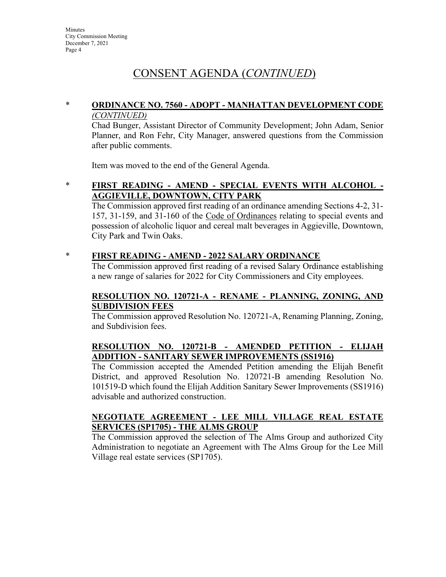# CONSENT AGENDA (*CONTINUED*)

#### \* **ORDINANCE NO. 7560 - ADOPT - MANHATTAN DEVELOPMENT CODE** *(CONTINUED)*

Chad Bunger, Assistant Director of Community Development; John Adam, Senior Planner, and Ron Fehr, City Manager, answered questions from the Commission after public comments.

Item was moved to the end of the General Agenda.

\* **FIRST READING - AMEND - SPECIAL EVENTS WITH ALCOHOL - AGGIEVILLE, DOWNTOWN, CITY PARK**

The Commission approved first reading of an ordinance amending Sections 4-2, 31- 157, 31-159, and 31-160 of the Code of Ordinances relating to special events and possession of alcoholic liquor and cereal malt beverages in Aggieville, Downtown, City Park and Twin Oaks.

### \* **FIRST READING - AMEND - 2022 SALARY ORDINANCE**

The Commission approved first reading of a revised Salary Ordinance establishing a new range of salaries for 2022 for City Commissioners and City employees.

### **RESOLUTION NO. 120721-A - RENAME - PLANNING, ZONING, AND SUBDIVISION FEES**

The Commission approved Resolution No. 120721-A, Renaming Planning, Zoning, and Subdivision fees.

### **RESOLUTION NO. 120721-B - AMENDED PETITION - ELIJAH ADDITION - SANITARY SEWER IMPROVEMENTS (SS1916)**

The Commission accepted the Amended Petition amending the Elijah Benefit District, and approved Resolution No. 120721-B amending Resolution No. 101519-D which found the Elijah Addition Sanitary Sewer Improvements (SS1916) advisable and authorized construction.

#### **NEGOTIATE AGREEMENT - LEE MILL VILLAGE REAL ESTATE SERVICES (SP1705) - THE ALMS GROUP**

The Commission approved the selection of The Alms Group and authorized City Administration to negotiate an Agreement with The Alms Group for the Lee Mill Village real estate services (SP1705).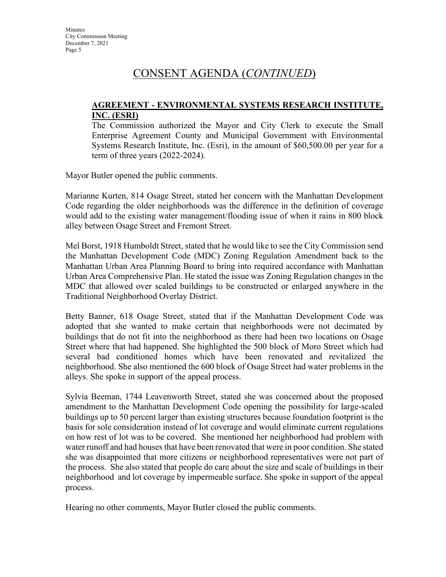# CONSENT AGENDA (*CONTINUED*)

#### **AGREEMENT - ENVIRONMENTAL SYSTEMS RESEARCH INSTITUTE, INC. (ESRI)**

The Commission authorized the Mayor and City Clerk to execute the Small Enterprise Agreement County and Municipal Government with Environmental Systems Research Institute, Inc. (Esri), in the amount of \$60,500.00 per year for a term of three years (2022-2024).

Mayor Butler opened the public comments.

Marianne Kurten, 814 Osage Street, stated her concern with the Manhattan Development Code regarding the older neighborhoods was the difference in the definition of coverage would add to the existing water management/flooding issue of when it rains in 800 block alley between Osage Street and Fremont Street.

Mel Borst, 1918 Humboldt Street, stated that he would like to see the City Commission send the Manhattan Development Code (MDC) Zoning Regulation Amendment back to the Manhattan Urban Area Planning Board to bring into required accordance with Manhattan Urban Area Comprehensive Plan. He stated the issue was Zoning Regulation changes in the MDC that allowed over scaled buildings to be constructed or enlarged anywhere in the Traditional Neighborhood Overlay District.

Betty Banner, 618 Osage Street, stated that if the Manhattan Development Code was adopted that she wanted to make certain that neighborhoods were not decimated by buildings that do not fit into the neighborhood as there had been two locations on Osage Street where that had happened. She highlighted the 500 block of Moro Street which had several bad conditioned homes which have been renovated and revitalized the neighborhood. She also mentioned the 600 block of Osage Street had water problems in the alleys. She spoke in support of the appeal process.

Sylvia Beeman, 1744 Leavenworth Street, stated she was concerned about the proposed amendment to the Manhattan Development Code opening the possibility for large-scaled buildings up to 50 percent larger than existing structures because foundation footprint is the basis for sole consideration instead of lot coverage and would eliminate current regulations on how rest of lot was to be covered. She mentioned her neighborhood had problem with water runoff and had houses that have been renovated that were in poor condition. She stated she was disappointed that more citizens or neighborhood representatives were not part of the process. She also stated that people do care about the size and scale of buildings in their neighborhood and lot coverage by impermeable surface. She spoke in support of the appeal process.

Hearing no other comments, Mayor Butler closed the public comments.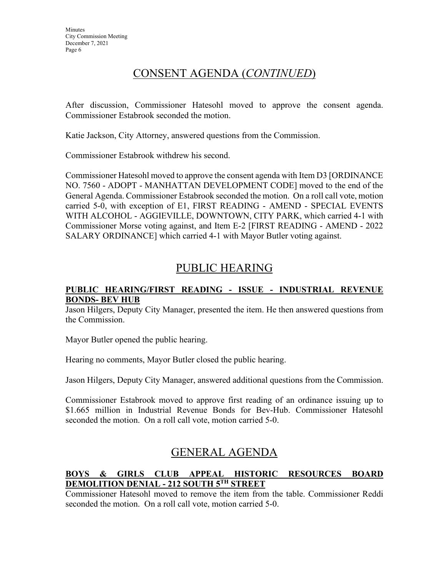# CONSENT AGENDA (*CONTINUED*)

After discussion, Commissioner Hatesohl moved to approve the consent agenda. Commissioner Estabrook seconded the motion.

Katie Jackson, City Attorney, answered questions from the Commission.

Commissioner Estabrook withdrew his second.

Commissioner Hatesohl moved to approve the consent agenda with Item D3 [ORDINANCE NO. 7560 - ADOPT - MANHATTAN DEVELOPMENT CODE] moved to the end of the General Agenda. Commissioner Estabrook seconded the motion. On a roll call vote, motion carried 5-0, with exception of E1, FIRST READING - AMEND - SPECIAL EVENTS WITH ALCOHOL - AGGIEVILLE, DOWNTOWN, CITY PARK, which carried 4-1 with Commissioner Morse voting against, and Item E-2 [FIRST READING - AMEND - 2022 SALARY ORDINANCE] which carried 4-1 with Mayor Butler voting against.

# PUBLIC HEARING

#### **PUBLIC HEARING/FIRST READING - ISSUE - INDUSTRIAL REVENUE BONDS- BEV HUB**

Jason Hilgers, Deputy City Manager, presented the item. He then answered questions from the Commission.

Mayor Butler opened the public hearing.

Hearing no comments, Mayor Butler closed the public hearing.

Jason Hilgers, Deputy City Manager, answered additional questions from the Commission.

Commissioner Estabrook moved to approve first reading of an ordinance issuing up to \$1.665 million in Industrial Revenue Bonds for Bev-Hub. Commissioner Hatesohl seconded the motion. On a roll call vote, motion carried 5-0.

## GENERAL AGENDA

### **BOYS & GIRLS CLUB APPEAL HISTORIC RESOURCES BOARD DEMOLITION DENIAL - 212 SOUTH 5TH STREET**

Commissioner Hatesohl moved to remove the item from the table. Commissioner Reddi seconded the motion. On a roll call vote, motion carried 5-0.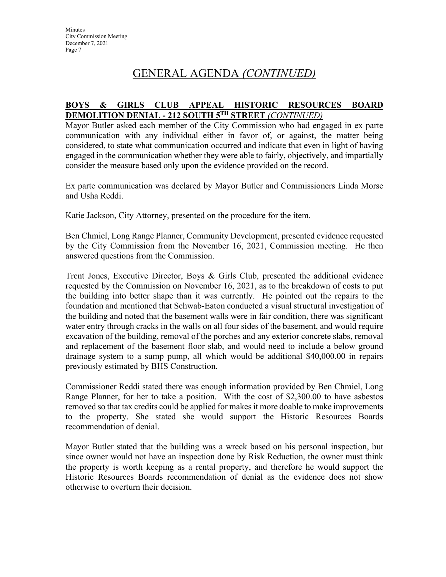# GENERAL AGENDA *(CONTINUED)*

#### **BOYS & GIRLS CLUB APPEAL HISTORIC RESOURCES BOARD DEMOLITION DENIAL - 212 SOUTH 5TH STREET** *(CONTINUED)*

Mayor Butler asked each member of the City Commission who had engaged in ex parte communication with any individual either in favor of, or against, the matter being considered, to state what communication occurred and indicate that even in light of having engaged in the communication whether they were able to fairly, objectively, and impartially consider the measure based only upon the evidence provided on the record.

Ex parte communication was declared by Mayor Butler and Commissioners Linda Morse and Usha Reddi.

Katie Jackson, City Attorney, presented on the procedure for the item.

Ben Chmiel, Long Range Planner, Community Development, presented evidence requested by the City Commission from the November 16, 2021, Commission meeting. He then answered questions from the Commission.

Trent Jones, Executive Director, Boys & Girls Club, presented the additional evidence requested by the Commission on November 16, 2021, as to the breakdown of costs to put the building into better shape than it was currently. He pointed out the repairs to the foundation and mentioned that Schwab-Eaton conducted a visual structural investigation of the building and noted that the basement walls were in fair condition, there was significant water entry through cracks in the walls on all four sides of the basement, and would require excavation of the building, removal of the porches and any exterior concrete slabs, removal and replacement of the basement floor slab, and would need to include a below ground drainage system to a sump pump, all which would be additional \$40,000.00 in repairs previously estimated by BHS Construction.

Commissioner Reddi stated there was enough information provided by Ben Chmiel, Long Range Planner, for her to take a position. With the cost of \$2,300.00 to have asbestos removed so that tax credits could be applied for makes it more doable to make improvements to the property. She stated she would support the Historic Resources Boards recommendation of denial.

Mayor Butler stated that the building was a wreck based on his personal inspection, but since owner would not have an inspection done by Risk Reduction, the owner must think the property is worth keeping as a rental property, and therefore he would support the Historic Resources Boards recommendation of denial as the evidence does not show otherwise to overturn their decision.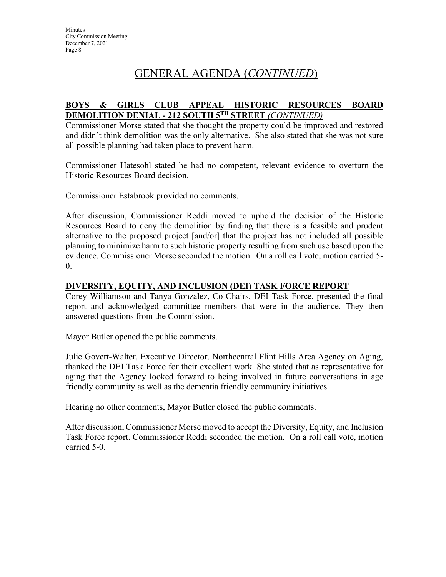# GENERAL AGENDA (*CONTINUED*)

#### **BOYS & GIRLS CLUB APPEAL HISTORIC RESOURCES BOARD DEMOLITION DENIAL - 212 SOUTH 5TH STREET** *(CONTINUED)*

Commissioner Morse stated that she thought the property could be improved and restored and didn't think demolition was the only alternative. She also stated that she was not sure all possible planning had taken place to prevent harm.

Commissioner Hatesohl stated he had no competent, relevant evidence to overturn the Historic Resources Board decision.

Commissioner Estabrook provided no comments.

After discussion, Commissioner Reddi moved to uphold the decision of the Historic Resources Board to deny the demolition by finding that there is a feasible and prudent alternative to the proposed project [and/or] that the project has not included all possible planning to minimize harm to such historic property resulting from such use based upon the evidence. Commissioner Morse seconded the motion. On a roll call vote, motion carried 5-  $\overline{0}$ .

#### **DIVERSITY, EQUITY, AND INCLUSION (DEI) TASK FORCE REPORT**

Corey Williamson and Tanya Gonzalez, Co-Chairs, DEI Task Force, presented the final report and acknowledged committee members that were in the audience. They then answered questions from the Commission.

Mayor Butler opened the public comments.

Julie Govert-Walter, Executive Director, Northcentral Flint Hills Area Agency on Aging, thanked the DEI Task Force for their excellent work. She stated that as representative for aging that the Agency looked forward to being involved in future conversations in age friendly community as well as the dementia friendly community initiatives.

Hearing no other comments, Mayor Butler closed the public comments.

After discussion, Commissioner Morse moved to accept the Diversity, Equity, and Inclusion Task Force report. Commissioner Reddi seconded the motion. On a roll call vote, motion carried 5-0.